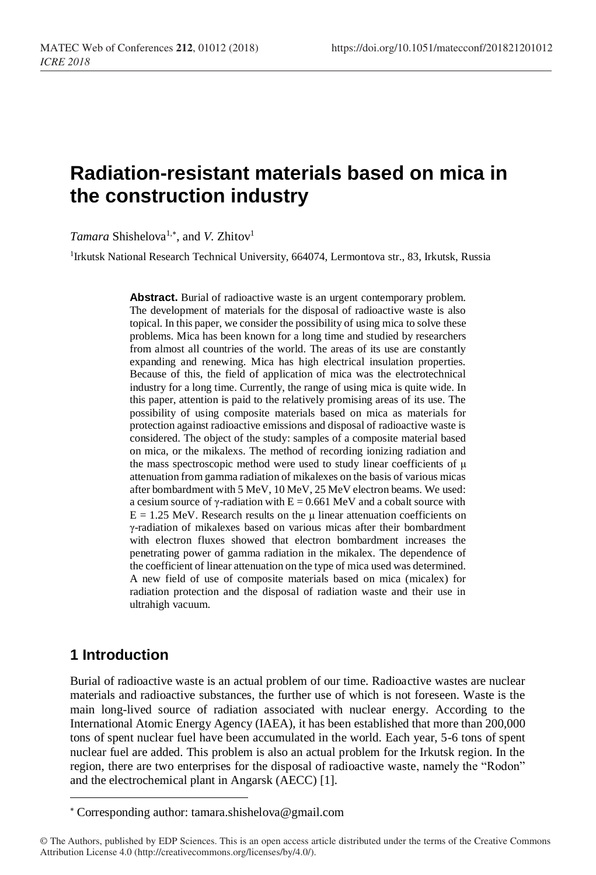# **Radiation-resistant materials based on mica in the construction industry**

Tamara Shishelova<sup>1,\*</sup>, and *V*. Zhitov<sup>1</sup>

<sup>1</sup>Irkutsk National Research Technical University, 664074, Lermontova str., 83, Irkutsk, Russia

Abstract. Burial of radioactive waste is an urgent contemporary problem. The development of materials for the disposal of radioactive waste is also topical. In this paper, we consider the possibility of using mica to solve these problems. Mica has been known for a long time and studied by researchers from almost all countries of the world. The areas of its use are constantly expanding and renewing. Mica has high electrical insulation properties. Because of this, the field of application of mica was the electrotechnical industry for a long time. Currently, the range of using mica is quite wide. In this paper, attention is paid to the relatively promising areas of its use. The possibility of using composite materials based on mica as materials for protection against radioactive emissions and disposal of radioactive waste is considered. The object of the study: samples of a composite material based on mica, or the mikalexs. The method of recording ionizing radiation and the mass spectroscopic method were used to study linear coefficients of μ attenuation from gamma radiation of mikalexes on the basis of various micas after bombardment with 5 MeV, 10 MeV, 25 MeV electron beams. We used: a cesium source of γ-radiation with  $E = 0.661$  MeV and a cobalt source with  $E = 1.25$  MeV. Research results on the  $\mu$  linear attenuation coefficients on γ-radiation of mikalexes based on various micas after their bombardment with electron fluxes showed that electron bombardment increases the penetrating power of gamma radiation in the mikalex. The dependence of the coefficient of linear attenuation on the type of mica used was determined. A new field of use of composite materials based on mica (micalex) for radiation protection and the disposal of radiation waste and their use in ultrahigh vacuum.

## **1 Introduction**

l

Burial of radioactive waste is an actual problem of our time. Radioactive wastes are nuclear materials and radioactive substances, the further use of which is not foreseen. Waste is the main long-lived source of radiation associated with nuclear energy. According to the International Atomic Energy Agency (IAEA), it has been established that more than 200,000 tons of spent nuclear fuel have been accumulated in the world. Each year, 5-6 tons of spent nuclear fuel are added. This problem is also an actual problem for the Irkutsk region. In the region, there are two enterprises for the disposal of radioactive waste, namely the "Rodon" and the electrochemical plant in Angarsk (AECC) [1].

Corresponding author: tamara.shishelova@gmail.com

<sup>©</sup> The Authors, published by EDP Sciences. This is an open access article distributed under the terms of the Creative Commons Attribution License 4.0 (http://creativecommons.org/licenses/by/4.0/).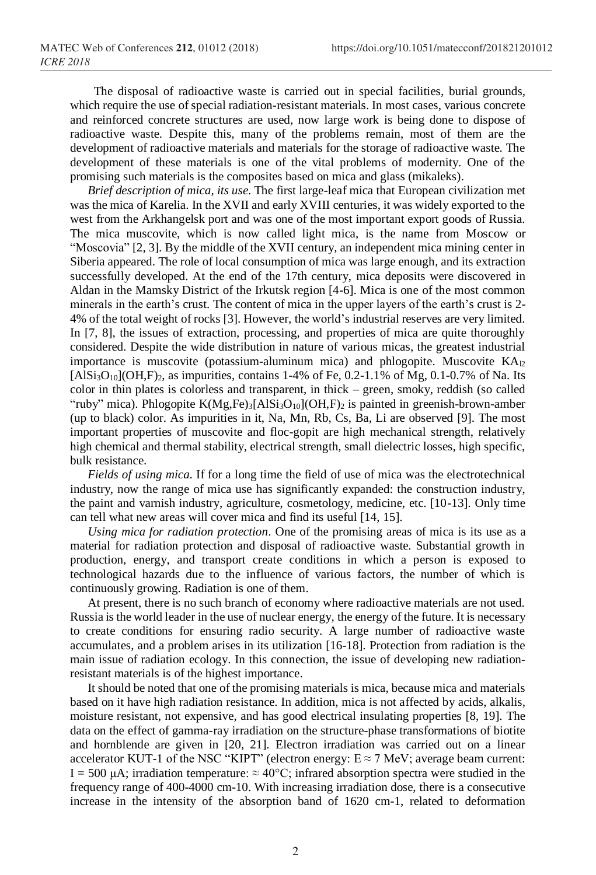The disposal of radioactive waste is carried out in special facilities, burial grounds, which require the use of special radiation-resistant materials. In most cases, various concrete and reinforced concrete structures are used, now large work is being done to dispose of radioactive waste. Despite this, many of the problems remain, most of them are the development of radioactive materials and materials for the storage of radioactive waste. The development of these materials is one of the vital problems of modernity. One of the promising such materials is the composites based on mica and glass (mikaleks).

*Brief description of mica, its use.* The first large-leaf mica that European civilization met was the mica of Karelia. In the XVII and early XVIII centuries, it was widely exported to the west from the Arkhangelsk port and was one of the most important export goods of Russia. The mica muscovite, which is now called light mica, is the name from Moscow or "Moscovia" [2, 3]. By the middle of the XVII century, an independent mica mining center in Siberia appeared. The role of local consumption of mica was large enough, and its extraction successfully developed. At the end of the 17th century, mica deposits were discovered in Aldan in the Mamsky District of the Irkutsk region [4-6]. Mica is one of the most common minerals in the earth's crust. The content of mica in the upper layers of the earth's crust is 2- 4% of the total weight of rocks [3]. However, the world's industrial reserves are very limited. In [7, 8], the issues of extraction, processing, and properties of mica are quite thoroughly considered. Despite the wide distribution in nature of various micas, the greatest industrial importance is muscovite (potassium-aluminum mica) and phlogopite. Muscovite  $KA_{2}$  $[AlSi<sub>3</sub>O<sub>10</sub>](OH,F)<sub>2</sub>$ , as impurities, contains 1-4% of Fe, 0.2-1.1% of Mg, 0.1-0.7% of Na. Its color in thin plates is colorless and transparent, in thick – green, smoky, reddish (so called "ruby" mica). Phlogopite  $K(Mg,Fe)_3[AlSi_3O_{10}](OH, F)_2$  is painted in greenish-brown-amber (up to black) color. As impurities in it, Na, Mn, Rb, Cs, Ba, Li are observed [9]. The most important properties of muscovite and floc-gopit are high mechanical strength, relatively high chemical and thermal stability, electrical strength, small dielectric losses, high specific, bulk resistance.

*Fields of using mica.* If for a long time the field of use of mica was the electrotechnical industry, now the range of mica use has significantly expanded: the construction industry, the paint and varnish industry, agriculture, cosmetology, medicine, etc. [10-13]. Only time can tell what new areas will cover mica and find its useful [14, 15].

*Using mica for radiation protection*. One of the promising areas of mica is its use as a material for radiation protection and disposal of radioactive waste. Substantial growth in production, energy, and transport create conditions in which a person is exposed to technological hazards due to the influence of various factors, the number of which is continuously growing. Radiation is one of them.

At present, there is no such branch of economy where radioactive materials are not used. Russia is the world leader in the use of nuclear energy, the energy of the future. It is necessary to create conditions for ensuring radio security. A large number of radioactive waste accumulates, and a problem arises in its utilization [16-18]. Protection from radiation is the main issue of radiation ecology. In this connection, the issue of developing new radiationresistant materials is of the highest importance.

It should be noted that one of the promising materials is mica, because mica and materials based on it have high radiation resistance. In addition, mica is not affected by acids, alkalis, moisture resistant, not expensive, and has good electrical insulating properties [8, 19]. The data on the effect of gamma-ray irradiation on the structure-phase transformations of biotite and hornblende are given in [20, 21]. Electron irradiation was carried out on a linear accelerator KUT-1 of the NSC "KIPT" (electron energy:  $E \approx 7$  MeV; average beam current: I = 500 μA; irradiation temperature:  $\approx$  40°C; infrared absorption spectra were studied in the frequency range of 400-4000 cm-10. With increasing irradiation dose, there is a consecutive increase in the intensity of the absorption band of 1620 cm-1, related to deformation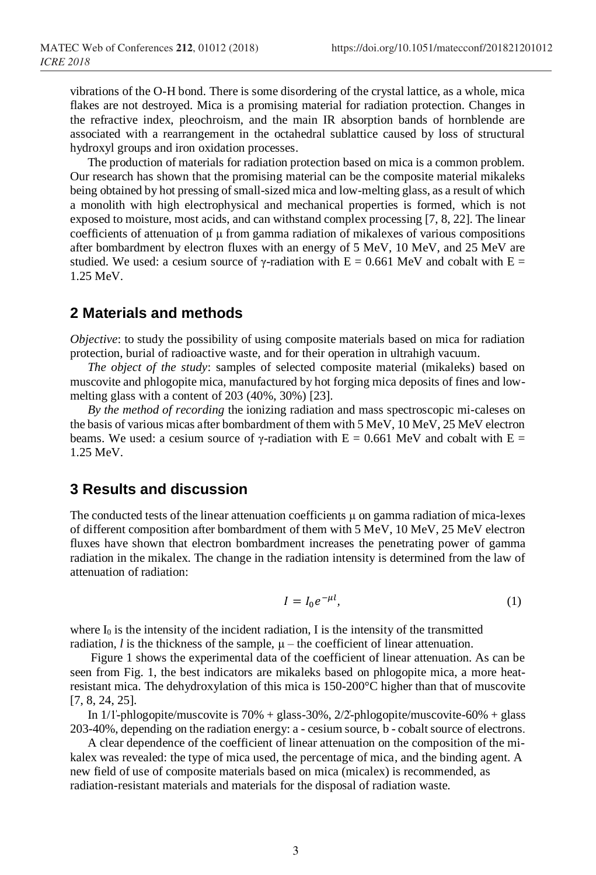vibrations of the O-H bond. There is some disordering of the crystal lattice, as a whole, mica flakes are not destroyed. Mica is a promising material for radiation protection. Changes in the refractive index, pleochroism, and the main IR absorption bands of hornblende are associated with a rearrangement in the octahedral sublattice caused by loss of structural hydroxyl groups and iron oxidation processes.

The production of materials for radiation protection based on mica is a common problem. Our research has shown that the promising material can be the composite material mikaleks being obtained by hot pressing of small-sized mica and low-melting glass, as a result of which a monolith with high electrophysical and mechanical properties is formed, which is not exposed to moisture, most acids, and can withstand complex processing [7, 8, 22]. The linear coefficients of attenuation of μ from gamma radiation of mikalexes of various compositions after bombardment by electron fluxes with an energy of 5 MeV, 10 MeV, and 25 MeV are studied. We used: a cesium source of γ-radiation with  $E = 0.661$  MeV and cobalt with  $E =$ 1.25 MeV.

## **2 Materials and methods**

*Objective*: to study the possibility of using composite materials based on mica for radiation protection, burial of radioactive waste, and for their operation in ultrahigh vacuum.

*The object of the study*: samples of selected composite material (mikaleks) based on muscovite and phlogopite mica, manufactured by hot forging mica deposits of fines and lowmelting glass with a content of 203 (40%, 30%) [23].

*By the method of recording* the ionizing radiation and mass spectroscopic mi-caleses on the basis of various micas after bombardment of them with 5 MeV, 10 MeV, 25 MeV electron beams. We used: a cesium source of  $\gamma$ -radiation with E = 0.661 MeV and cobalt with E = 1.25 MeV.

#### **3 Results and discussion**

The conducted tests of the linear attenuation coefficients  $\mu$  on gamma radiation of mica-lexes of different composition after bombardment of them with 5 MeV, 10 MeV, 25 MeV electron fluxes have shown that electron bombardment increases the penetrating power of gamma radiation in the mikalex. The change in the radiation intensity is determined from the law of attenuation of radiation:

$$
I = I_0 e^{-\mu l},\tag{1}
$$

where  $I_0$  is the intensity of the incident radiation, I is the intensity of the transmitted radiation,  $l$  is the thickness of the sample,  $\mu$  – the coefficient of linear attenuation.

Figure 1 shows the experimental data of the coefficient of linear attenuation. As can be seen from Fig. 1, the best indicators are mikaleks based on phlogopite mica, a more heatresistant mica. The dehydroxylation of this mica is 150-200°C higher than that of muscovite [7, 8, 24, 25].

In  $1/1$ -phlogopite/muscovite is  $70\%$  + glass-30%,  $2/2$ -phlogopite/muscovite-60% + glass 203-40%, depending on the radiation energy: a - cesium source, b - cobalt source of electrons.

A clear dependence of the coefficient of linear attenuation on the composition of the mikalex was revealed: the type of mica used, the percentage of mica, and the binding agent. A new field of use of composite materials based on mica (micalex) is recommended, as radiation-resistant materials and materials for the disposal of radiation waste.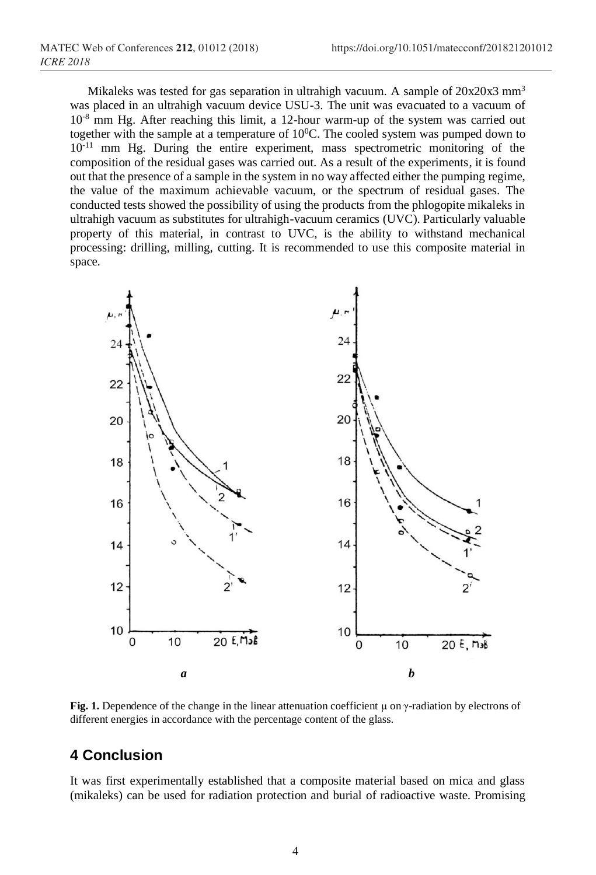Mikaleks was tested for gas separation in ultrahigh vacuum. A sample of  $20x20x3$  mm<sup>3</sup> was placed in an ultrahigh vacuum device USU-3. The unit was evacuated to a vacuum of 10<sup>-8</sup> mm Hg. After reaching this limit, a 12-hour warm-up of the system was carried out together with the sample at a temperature of  $10^0$ C. The cooled system was pumped down to  $10^{-11}$  mm Hg. During the entire experiment, mass spectrometric monitoring of the composition of the residual gases was carried out. As a result of the experiments, it is found out that the presence of a sample in the system in no way affected either the pumping regime, the value of the maximum achievable vacuum, or the spectrum of residual gases. The conducted tests showed the possibility of using the products from the phlogopite mikaleks in ultrahigh vacuum as substitutes for ultrahigh-vacuum ceramics (UVC). Particularly valuable property of this material, in contrast to UVC, is the ability to withstand mechanical processing: drilling, milling, cutting. It is recommended to use this composite material in space.



**Fig. 1.** Dependence of the change in the linear attenuation coefficient μ on γ-radiation by electrons of different energies in accordance with the percentage content of the glass.

# **4 Conclusion**

It was first experimentally established that a composite material based on mica and glass (mikaleks) can be used for radiation protection and burial of radioactive waste. Promising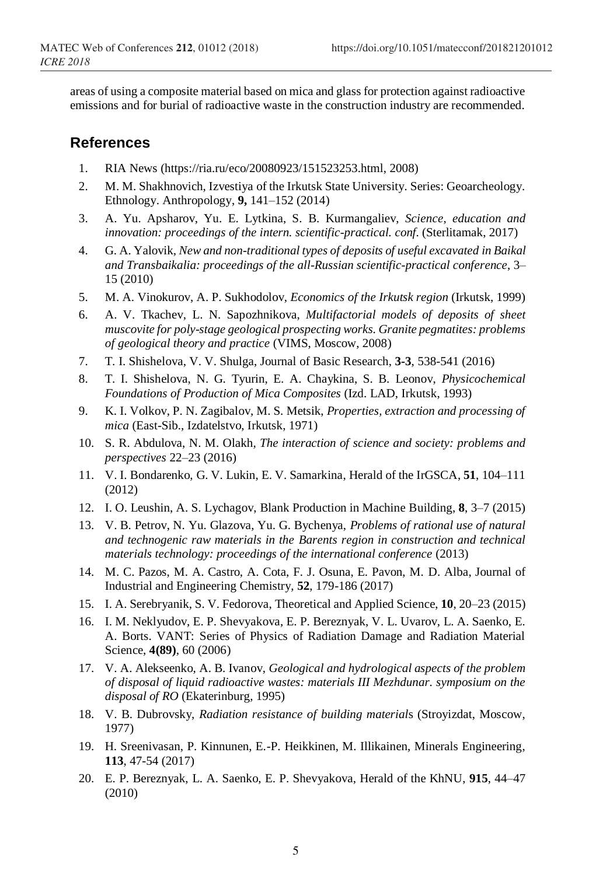areas of using a composite material based on mica and glass for protection against radioactive emissions and for burial of radioactive waste in the construction industry are recommended.

### **References**

- 1. RIA News (https://ria.ru/eco/20080923/151523253.html, 2008)
- 2. M. M. Shakhnovich, Izvestiya of the Irkutsk State University. Series: Geoarcheology. Ethnology. Anthropology, **9,** 141–152 (2014)
- 3. A. Yu. Apsharov, Yu. E. Lytkina, S. B. Kurmangaliev, *Science, education and innovation: proceedings of the intern. scientific-practical. conf.* (Sterlitamak, 2017)
- 4. G. A. Yalovik, *New and non-traditional types of deposits of useful excavated in Baikal and Transbaikalia: proceedings of the all-Russian scientific-practical conference*, 3– 15 (2010)
- 5. M. A. Vinokurov, A. P. Sukhodolov, *Economics of the Irkutsk region* (Irkutsk, 1999)
- 6. A. V. Tkachev, L. N. Sapozhnikova, *Multifactorial models of deposits of sheet muscovite for poly-stage geological prospecting works. Granite pegmatites: problems of geological theory and practice* (VIMS, Moscow, 2008)
- 7. T. I. Shishelova, V. V. Shulga, Journal of Basic Research, **3-3**, 538-541 (2016)
- 8. T. I. Shishelova, N. G. Tyurin, E. A. Chaykina, S. B. Leonov, *Physicochemical Foundations of Production of Mica Composites* (Izd. LAD, Irkutsk, 1993)
- 9. K. I. Volkov, P. N. Zagibalov, M. S. Metsik, *Properties, extraction and processing of mica* (East-Sib., Izdatelstvo, Irkutsk, 1971)
- 10. S. R. Abdulova, N. M. Olakh, *The interaction of science and society: problems and perspectives* 22–23 (2016)
- 11. V. I. Bondarenko, G. V. Lukin, E. V. Samarkina, Herald of the IrGSCA, **51**, 104–111 (2012)
- 12. I. O. Leushin, A. S. Lychagov, Blank Production in Machine Building, **8**, 3–7 (2015)
- 13. V. B. Petrov, N. Yu. Glazova, Yu. G. Bychenya, *Problems of rational use of natural and technogenic raw materials in the Barents region in construction and technical materials technology: proceedings of the international conference* (2013)
- 14. M. C. Pazos, M. A. Castro, A. Cota, F. J. Osuna, E. Pavon, M. D. Alba, Journal of Industrial and Engineering Chemistry, **52**, 179-186 (2017)
- 15. I. A. Serebryanik, S. V. Fedorova, Theoretical and Applied Science, **10**, 20–23 (2015)
- 16. I. M. Neklyudov, E. P. Shevyakova, E. P. Bereznyak, V. L. Uvarov, L. A. Saenko, E. A. Borts. VANT: Series of Physics of Radiation Damage and Radiation Material Science, **4(89)**, 60 (2006)
- 17. V. A. Alekseenko, A. B. Ivanov, *Geological and hydrological aspects of the problem of disposal of liquid radioactive wastes: materials III Mezhdunar. symposium on the disposal of RO* (Ekaterinburg, 1995)
- 18. V. B. Dubrovsky, *Radiation resistance of building material*s (Stroyizdat, Moscow, 1977)
- 19. H. Sreenivasan, P. Kinnunen, E.-P. Heikkinen, M. Illikainen, Minerals Engineering, **113**, 47-54 (2017)
- 20. E. P. Bereznyak, L. A. Saenko, E. P. Shevyakova, Herald of the KhNU, **915**, 44–47 (2010)